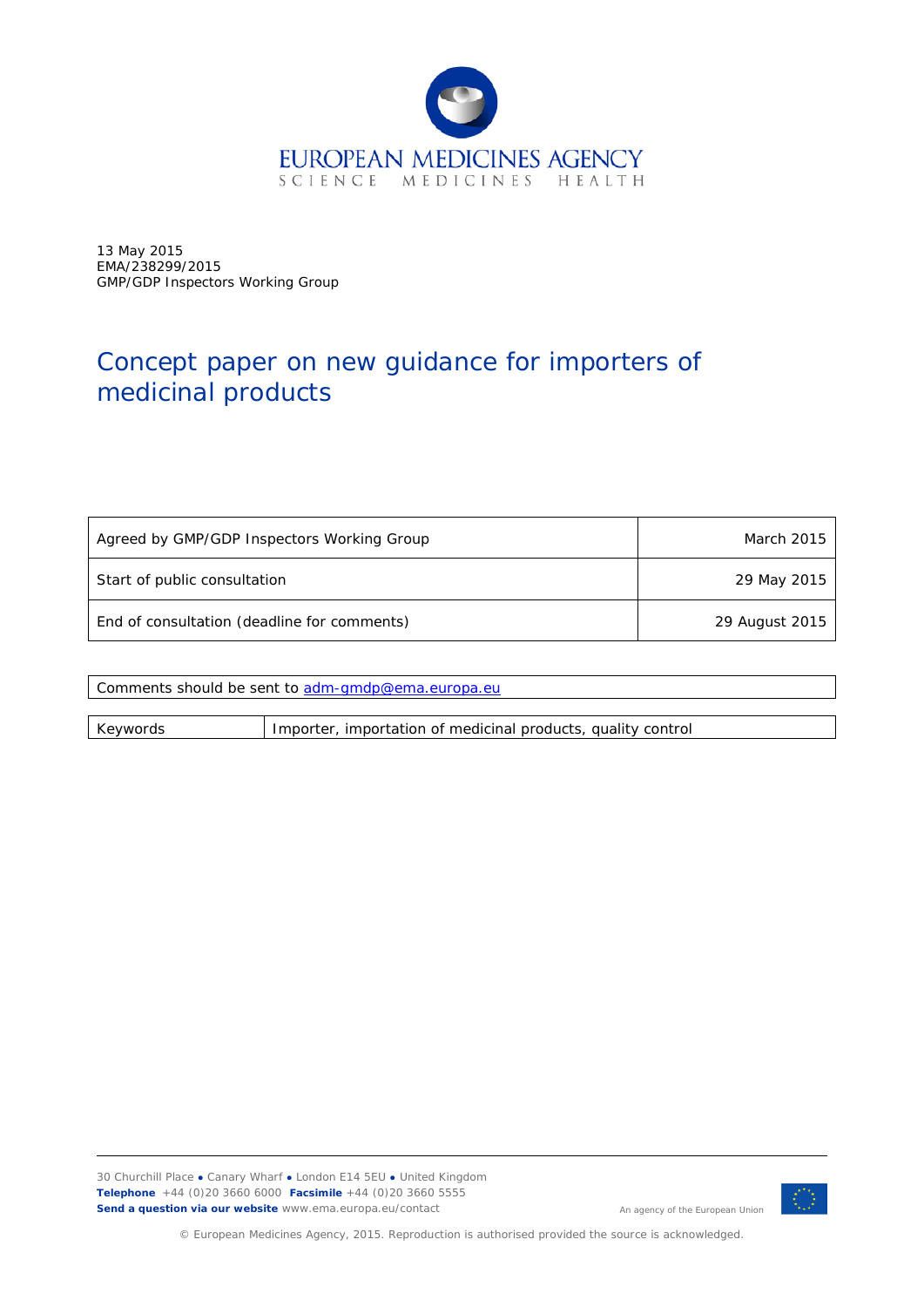

13 May 2015 EMA/238299/2015 GMP/GDP Inspectors Working Group

# Concept paper on new guidance for importers of medicinal products

| Agreed by GMP/GDP Inspectors Working Group  | March 2015     |
|---------------------------------------------|----------------|
| Start of public consultation                | 29 May 2015    |
| End of consultation (deadline for comments) | 29 August 2015 |

| Comments should be sent to adm-gmdp@ema.europa.eu |                                                              |  |
|---------------------------------------------------|--------------------------------------------------------------|--|
|                                                   |                                                              |  |
| Keywords                                          | Importer, importation of medicinal products, quality control |  |

30 Churchill Place **●** Canary Wharf **●** London E14 5EU **●** United Kingdom **Telephone** +44 (0)20 3660 6000 **Facsimile** +44 (0)20 3660 5555 **Send a question via our website** www.ema.europa.eu/contact



An agency of the European Union

© European Medicines Agency, 2015. Reproduction is authorised provided the source is acknowledged.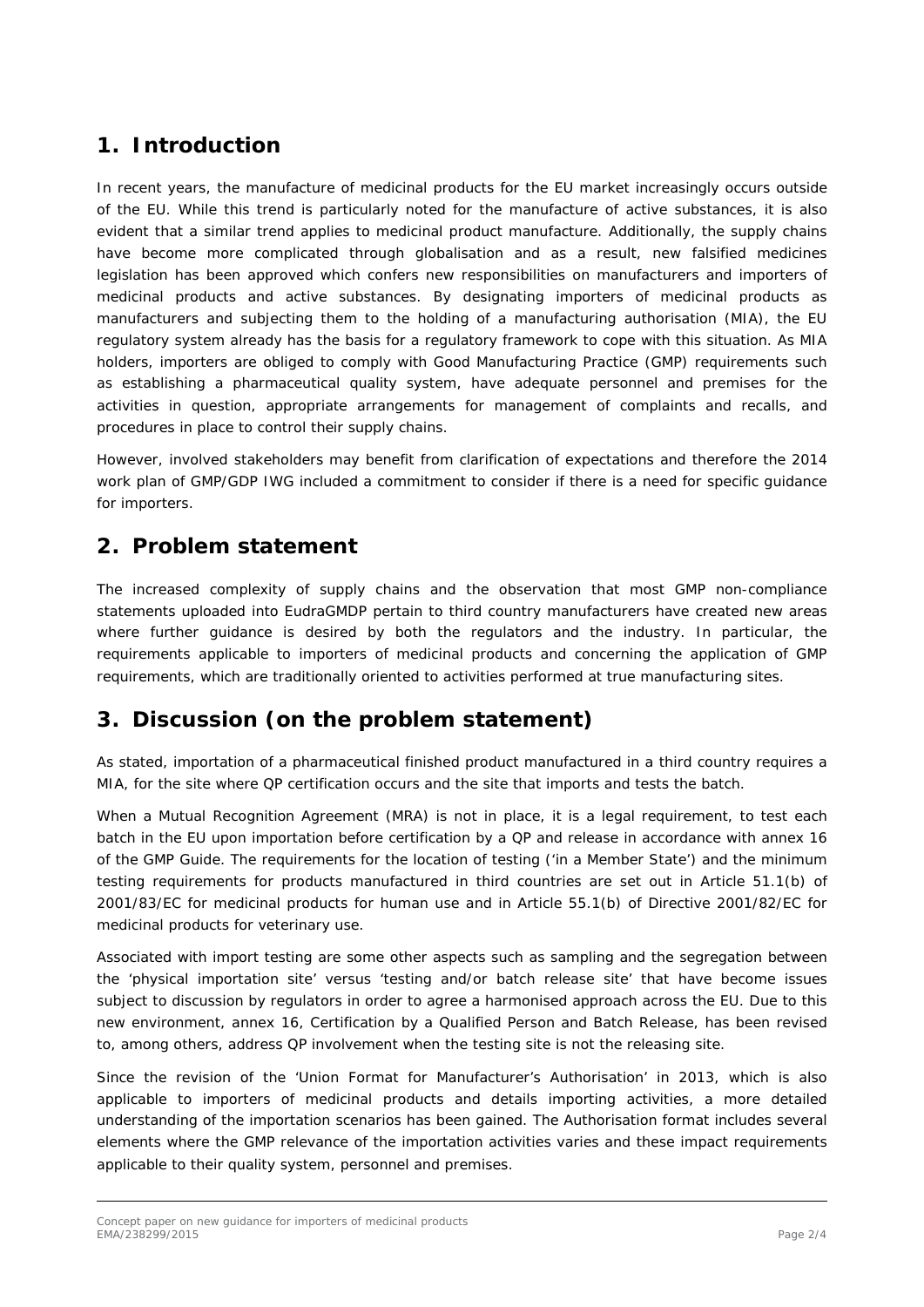## **1. Introduction**

In recent years, the manufacture of medicinal products for the EU market increasingly occurs outside of the EU. While this trend is particularly noted for the manufacture of active substances, it is also evident that a similar trend applies to medicinal product manufacture. Additionally, the supply chains have become more complicated through globalisation and as a result, new falsified medicines legislation has been approved which confers new responsibilities on manufacturers and importers of medicinal products and active substances. By designating importers of medicinal products as manufacturers and subjecting them to the holding of a manufacturing authorisation (MIA), the EU regulatory system already has the basis for a regulatory framework to cope with this situation. As MIA holders, importers are obliged to comply with Good Manufacturing Practice (GMP) requirements such as establishing a pharmaceutical quality system, have adequate personnel and premises for the activities in question, appropriate arrangements for management of complaints and recalls, and procedures in place to control their supply chains.

However, involved stakeholders may benefit from clarification of expectations and therefore the 2014 work plan of GMP/GDP IWG included a commitment to consider if there is a need for specific guidance for importers.

#### **2. Problem statement**

The increased complexity of supply chains and the observation that most GMP non-compliance statements uploaded into EudraGMDP pertain to third country manufacturers have created new areas where further guidance is desired by both the regulators and the industry. In particular, the requirements applicable to importers of medicinal products and concerning the application of GMP requirements, which are traditionally oriented to activities performed at true manufacturing sites.

## **3. Discussion (on the problem statement)**

As stated, importation of a pharmaceutical finished product manufactured in a third country requires a MIA, for the site where QP certification occurs and the site that imports and tests the batch.

When a Mutual Recognition Agreement (MRA) is not in place, it is a legal requirement, to test each batch in the EU upon importation before certification by a QP and release in accordance with annex 16 of the GMP Guide. The requirements for the location of testing ('in a Member State') and the minimum testing requirements for products manufactured in third countries are set out in Article 51.1(b) of 2001/83/EC for medicinal products for human use and in Article 55.1(b) of Directive 2001/82/EC for medicinal products for veterinary use.

Associated with import testing are some other aspects such as sampling and the segregation between the 'physical importation site' versus 'testing and/or batch release site' that have become issues subject to discussion by regulators in order to agree a harmonised approach across the EU. Due to this new environment, annex 16, Certification by a Qualified Person and Batch Release, has been revised to, among others, address QP involvement when the testing site is not the releasing site.

Since the revision of the 'Union Format for Manufacturer's Authorisation' in 2013, which is also applicable to importers of medicinal products and details importing activities, a more detailed understanding of the importation scenarios has been gained. The Authorisation format includes several elements where the GMP relevance of the importation activities varies and these impact requirements applicable to their quality system, personnel and premises.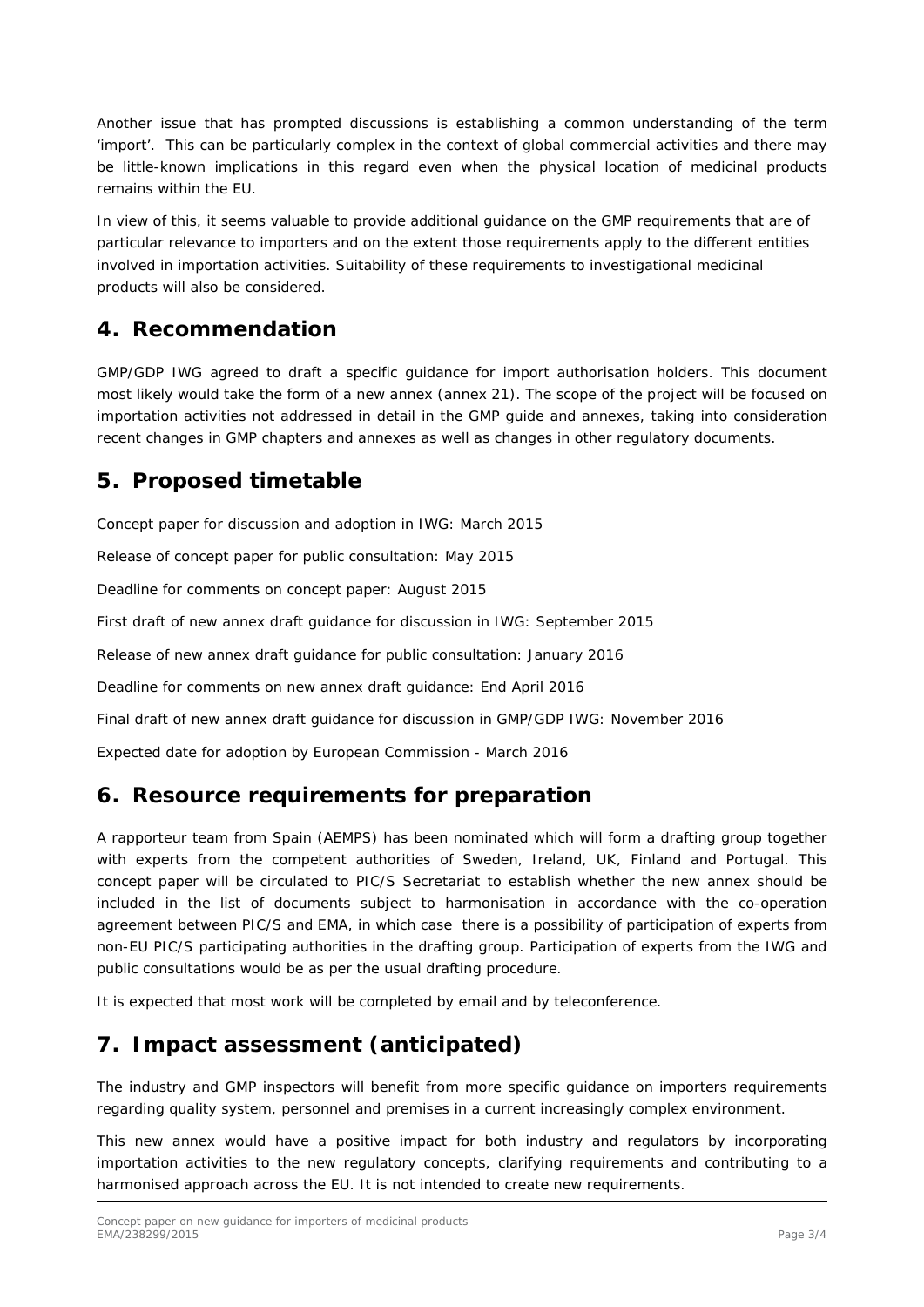Another issue that has prompted discussions is establishing a common understanding of the term 'import'. This can be particularly complex in the context of global commercial activities and there may be little-known implications in this regard even when the physical location of medicinal products remains within the EU.

In view of this, it seems valuable to provide additional guidance on the GMP requirements that are of particular relevance to importers and on the extent those requirements apply to the different entities involved in importation activities. Suitability of these requirements to investigational medicinal products will also be considered.

#### **4. Recommendation**

GMP/GDP IWG agreed to draft a specific guidance for import authorisation holders. This document most likely would take the form of a new annex (annex 21). The scope of the project will be focused on importation activities not addressed in detail in the GMP guide and annexes, taking into consideration recent changes in GMP chapters and annexes as well as changes in other regulatory documents.

## **5. Proposed timetable**

Concept paper for discussion and adoption in IWG: March 2015

Release of concept paper for public consultation: May 2015

Deadline for comments on concept paper: August 2015

First draft of new annex draft guidance for discussion in IWG: September 2015

Release of new annex draft guidance for public consultation: January 2016

Deadline for comments on new annex draft guidance: End April 2016

Final draft of new annex draft guidance for discussion in GMP/GDP IWG: November 2016

Expected date for adoption by European Commission - March 2016

#### **6. Resource requirements for preparation**

A rapporteur team from Spain (AEMPS) has been nominated which will form a drafting group together with experts from the competent authorities of Sweden, Ireland, UK, Finland and Portugal. This concept paper will be circulated to PIC/S Secretariat to establish whether the new annex should be included in the list of documents subject to harmonisation in accordance with the co-operation agreement between PIC/S and EMA, in which case there is a possibility of participation of experts from non-EU PIC/S participating authorities in the drafting group. Participation of experts from the IWG and public consultations would be as per the usual drafting procedure.

It is expected that most work will be completed by email and by teleconference.

#### **7. Impact assessment (anticipated)**

The industry and GMP inspectors will benefit from more specific guidance on importers requirements regarding quality system, personnel and premises in a current increasingly complex environment.

This new annex would have a positive impact for both industry and regulators by incorporating importation activities to the new regulatory concepts, clarifying requirements and contributing to a harmonised approach across the EU. It is not intended to create new requirements.